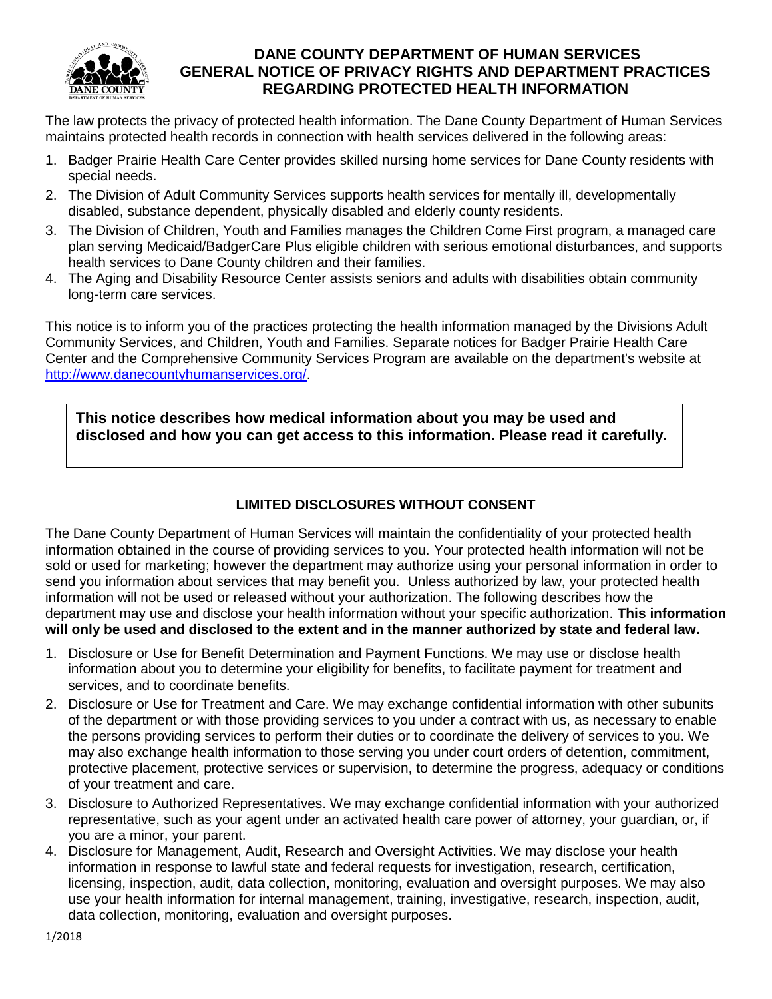

## **DANE COUNTY DEPARTMENT OF HUMAN SERVICES GENERAL NOTICE OF PRIVACY RIGHTS AND DEPARTMENT PRACTICES REGARDING PROTECTED HEALTH INFORMATION**

The law protects the privacy of protected health information. The Dane County Department of Human Services maintains protected health records in connection with health services delivered in the following areas:

- 1. Badger Prairie Health Care Center provides skilled nursing home services for Dane County residents with special needs.
- 2. The Division of Adult Community Services supports health services for mentally ill, developmentally disabled, substance dependent, physically disabled and elderly county residents.
- 3. The Division of Children, Youth and Families manages the Children Come First program, a managed care plan serving Medicaid/BadgerCare Plus eligible children with serious emotional disturbances, and supports health services to Dane County children and their families.
- 4. The Aging and Disability Resource Center assists seniors and adults with disabilities obtain community long-term care services.

This notice is to inform you of the practices protecting the health information managed by the Divisions Adult Community Services, and Children, Youth and Families. Separate notices for Badger Prairie Health Care Center and the Comprehensive Community Services Program are available on the department's website at [http://www.danecountyhumanservices.org/.](http://www.danecountyhumanservices.org/)

**This notice describes how medical information about you may be used and disclosed and how you can get access to this information. Please read it carefully.** 

## **LIMITED DISCLOSURES WITHOUT CONSENT**

The Dane County Department of Human Services will maintain the confidentiality of your protected health information obtained in the course of providing services to you. Your protected health information will not be sold or used for marketing; however the department may authorize using your personal information in order to send you information about services that may benefit you. Unless authorized by law, your protected health information will not be used or released without your authorization. The following describes how the department may use and disclose your health information without your specific authorization. **This information will only be used and disclosed to the extent and in the manner authorized by state and federal law.**

- 1. Disclosure or Use for Benefit Determination and Payment Functions. We may use or disclose health information about you to determine your eligibility for benefits, to facilitate payment for treatment and services, and to coordinate benefits.
- 2. Disclosure or Use for Treatment and Care. We may exchange confidential information with other subunits of the department or with those providing services to you under a contract with us, as necessary to enable the persons providing services to perform their duties or to coordinate the delivery of services to you. We may also exchange health information to those serving you under court orders of detention, commitment, protective placement, protective services or supervision, to determine the progress, adequacy or conditions of your treatment and care.
- 3. Disclosure to Authorized Representatives. We may exchange confidential information with your authorized representative, such as your agent under an activated health care power of attorney, your guardian, or, if you are a minor, your parent.
- 4. Disclosure for Management, Audit, Research and Oversight Activities. We may disclose your health information in response to lawful state and federal requests for investigation, research, certification, licensing, inspection, audit, data collection, monitoring, evaluation and oversight purposes. We may also use your health information for internal management, training, investigative, research, inspection, audit, data collection, monitoring, evaluation and oversight purposes.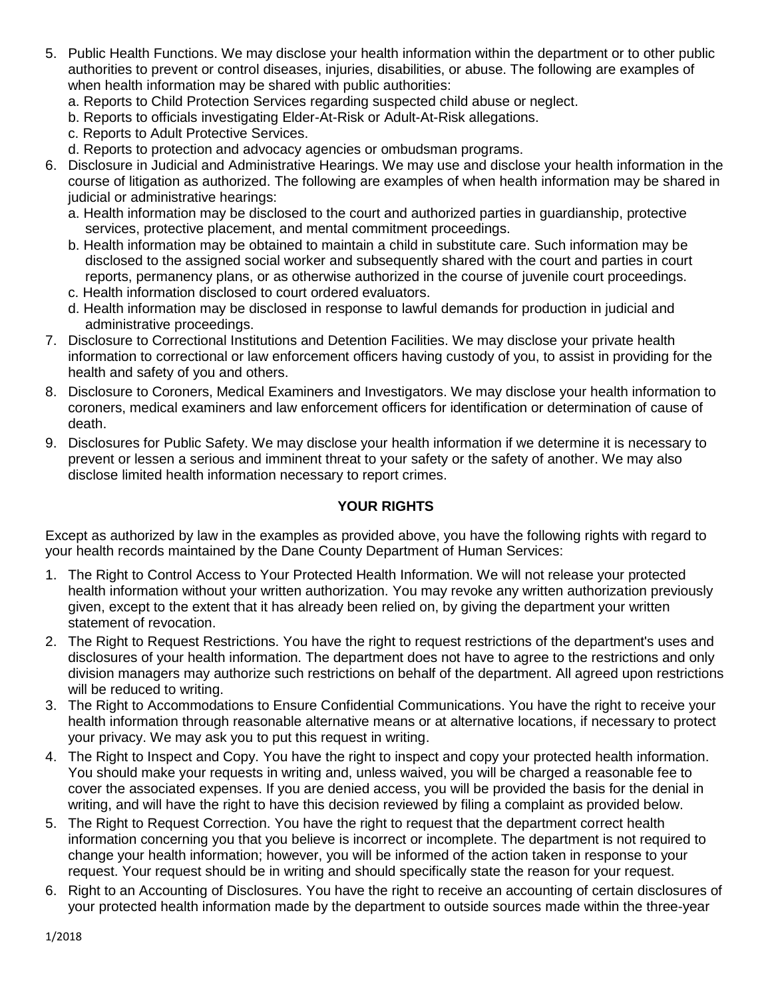- 5. Public Health Functions. We may disclose your health information within the department or to other public authorities to prevent or control diseases, injuries, disabilities, or abuse. The following are examples of when health information may be shared with public authorities:
	- a. Reports to Child Protection Services regarding suspected child abuse or neglect.
	- b. Reports to officials investigating Elder-At-Risk or Adult-At-Risk allegations.
	- c. Reports to Adult Protective Services.
	- d. Reports to protection and advocacy agencies or ombudsman programs.
- 6. Disclosure in Judicial and Administrative Hearings. We may use and disclose your health information in the course of litigation as authorized. The following are examples of when health information may be shared in judicial or administrative hearings:
	- a. Health information may be disclosed to the court and authorized parties in guardianship, protective services, protective placement, and mental commitment proceedings.
	- b. Health information may be obtained to maintain a child in substitute care. Such information may be disclosed to the assigned social worker and subsequently shared with the court and parties in court reports, permanency plans, or as otherwise authorized in the course of juvenile court proceedings.
	- c. Health information disclosed to court ordered evaluators.
	- d. Health information may be disclosed in response to lawful demands for production in judicial and administrative proceedings.
- 7. Disclosure to Correctional Institutions and Detention Facilities. We may disclose your private health information to correctional or law enforcement officers having custody of you, to assist in providing for the health and safety of you and others.
- 8. Disclosure to Coroners, Medical Examiners and Investigators. We may disclose your health information to coroners, medical examiners and law enforcement officers for identification or determination of cause of death.
- 9. Disclosures for Public Safety. We may disclose your health information if we determine it is necessary to prevent or lessen a serious and imminent threat to your safety or the safety of another. We may also disclose limited health information necessary to report crimes.

## **YOUR RIGHTS**

Except as authorized by law in the examples as provided above, you have the following rights with regard to your health records maintained by the Dane County Department of Human Services:

- 1. The Right to Control Access to Your Protected Health Information. We will not release your protected health information without your written authorization. You may revoke any written authorization previously given, except to the extent that it has already been relied on, by giving the department your written statement of revocation.
- 2. The Right to Request Restrictions. You have the right to request restrictions of the department's uses and disclosures of your health information. The department does not have to agree to the restrictions and only division managers may authorize such restrictions on behalf of the department. All agreed upon restrictions will be reduced to writing.
- 3. The Right to Accommodations to Ensure Confidential Communications. You have the right to receive your health information through reasonable alternative means or at alternative locations, if necessary to protect your privacy. We may ask you to put this request in writing.
- 4. The Right to Inspect and Copy. You have the right to inspect and copy your protected health information. You should make your requests in writing and, unless waived, you will be charged a reasonable fee to cover the associated expenses. If you are denied access, you will be provided the basis for the denial in writing, and will have the right to have this decision reviewed by filing a complaint as provided below.
- 5. The Right to Request Correction. You have the right to request that the department correct health information concerning you that you believe is incorrect or incomplete. The department is not required to change your health information; however, you will be informed of the action taken in response to your request. Your request should be in writing and should specifically state the reason for your request.
- 6. Right to an Accounting of Disclosures. You have the right to receive an accounting of certain disclosures of your protected health information made by the department to outside sources made within the three-year